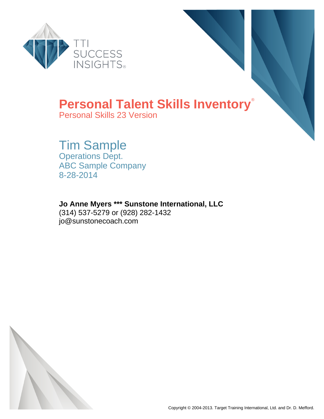



### **Personal Talent Skills Inventory**®

Personal Skills 23 Version

## Tim Sample

Operations Dept. ABC Sample Company 8-28-2014

### **Jo Anne Myers \*\*\* Sunstone International, LLC**

(314) 537-5279 or (928) 282-1432 jo@sunstonecoach.com

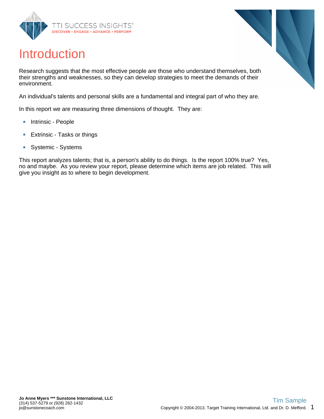



### Introduction

Research suggests that the most effective people are those who understand themselves, both their strengths and weaknesses, so they can develop strategies to meet the demands of their environment.

An individual's talents and personal skills are a fundamental and integral part of who they are.

In this report we are measuring three dimensions of thought. They are:

- Intrinsic People  $\bullet$
- Extrinsic Tasks or things  $\bullet$
- Systemic Systems  $\bullet$

This report analyzes talents; that is, a person's ability to do things. Is the report 100% true? Yes, no and maybe. As you review your report, please determine which items are job related. This will give you insight as to where to begin development.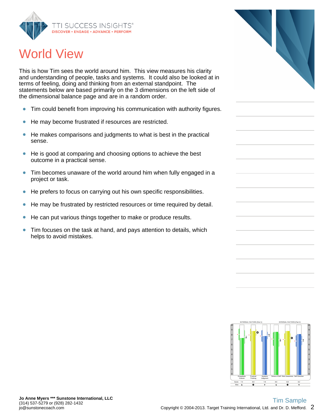

## World View

This is how Tim sees the world around him. This view measures his clarity and understanding of people, tasks and systems. It could also be looked at in terms of feeling, doing and thinking from an external standpoint. The statements below are based primarily on the 3 dimensions on the left side of the dimensional balance page and are in a random order.

- Tim could benefit from improving his communication with authority figures.  $\bullet$
- He may become frustrated if resources are restricted.  $\bullet$
- He makes comparisons and judgments to what is best in the practical  $\bullet$ sense.
- $\bullet$ He is good at comparing and choosing options to achieve the best outcome in a practical sense.
- Tim becomes unaware of the world around him when fully engaged in a  $\bullet$ project or task.
- $\bullet$ He prefers to focus on carrying out his own specific responsibilities.
- He may be frustrated by restricted resources or time required by detail.  $\bullet$
- $\bullet$ He can put various things together to make or produce results.
- $\bullet$ Tim focuses on the task at hand, and pays attention to details, which helps to avoid mistakes.



Bias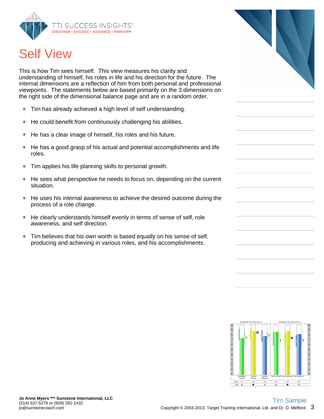

# Self View

This is how Tim sees himself. This view measures his clarity and understanding of himself, his roles in life and his direction for the future. The internal dimensions are a reflection of him from both personal and professional viewpoints. The statements below are based primarily on the 3 dimensions on the right side of the dimensional balance page and are in a random order.

- Tim has already achieved a high level of self understanding.  $\bullet$
- He could benefit from continuously challenging his abilities.  $\bullet$
- He has a clear image of himself, his roles and his future.  $\bullet$
- He has a good grasp of his actual and potential accomplishments and life  $\bullet$ roles.
- Tim applies his life planning skills to personal growth.  $\bullet$
- He sees what perspective he needs to focus on, depending on the current  $\bullet$ situation.
- He uses his internal awareness to achieve the desired outcome during the  $\bullet$ process of a role change.
- He clearly understands himself evenly in terms of sense of self, role  $\bullet$ awareness, and self direction.
- $\bullet$ Tim believes that his own worth is based equally on his sense of self, producing and achieving in various roles, and his accomplishments.



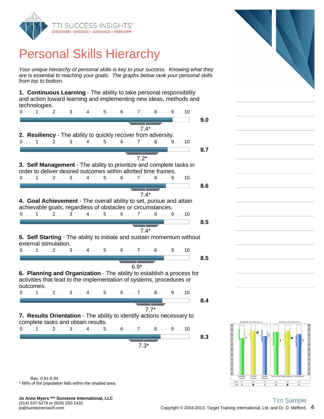

## Personal Skills Hierarchy

Your unique hierarchy of personal skills is key to your success. Knowing what they are is essential to reaching your goals. The graphs below rank your personal skills from top to bottom.

**1. Continuous Learning** - The ability to take personal responsibility and action toward learning and implementing new ideas, methods and technologies.

| $0. \ldots 1 \ldots 2 \ldots 3 \ldots 4 \ldots 5 \ldots 6 \ldots 7 \ldots 8 \ldots 9 \ldots 10$                                                                                                     |     |
|-----------------------------------------------------------------------------------------------------------------------------------------------------------------------------------------------------|-----|
|                                                                                                                                                                                                     | 9.0 |
| $7.4*$                                                                                                                                                                                              |     |
| 2. Resiliency - The ability to quickly recover from adversity.                                                                                                                                      |     |
| $0.1.1.1.1.2.1.1.3.1.1.4.1.1.5.1.16.1.1.7.1.1.8.1.1.9.1.10$                                                                                                                                         |     |
|                                                                                                                                                                                                     | 8.7 |
| $7.2*$                                                                                                                                                                                              |     |
| 3. Self Management - The ability to prioritize and complete tasks in                                                                                                                                |     |
| order to deliver desired outcomes within allotted time frames.                                                                                                                                      |     |
| 0. 1 2 3 4 5 6 7 8 9 10                                                                                                                                                                             |     |
|                                                                                                                                                                                                     | 8.6 |
| $7.4*$                                                                                                                                                                                              |     |
| 4. Goal Achievement - The overall ability to set, pursue and attain                                                                                                                                 |     |
| achievable goals, regardless of obstacles or circumstances.                                                                                                                                         |     |
| $0. \ldots 1 \ldots 2 \ldots 3 \ldots 4 \ldots 5 \ldots 6 \ldots 7 \ldots 8 \ldots 9 \ldots 10$                                                                                                     |     |
|                                                                                                                                                                                                     | 8.5 |
| $7.4*$                                                                                                                                                                                              |     |
| 5. Self Starting - The ability to initiate and sustain momentum without<br>external stimulation.<br>$0. \ldots 1 \ldots 2 \ldots 3 \ldots 4 \ldots 5 \ldots 6 \ldots 7 \ldots 8 \ldots 9 \ldots 10$ |     |
|                                                                                                                                                                                                     | 8.5 |
|                                                                                                                                                                                                     |     |
| $6.9*$                                                                                                                                                                                              |     |
| 6. Planning and Organization - The ability to establish a process for<br>activities that lead to the implementation of systems, procedures or                                                       |     |
| outcomes.<br>0. 1 2 3 4 5 6 7 8 9 10                                                                                                                                                                |     |
|                                                                                                                                                                                                     |     |
|                                                                                                                                                                                                     | 8.4 |
| $7.7*$                                                                                                                                                                                              |     |
| 7. Results Orientation - The ability to identify actions necessary to                                                                                                                               |     |
| complete tasks and obtain results.                                                                                                                                                                  |     |
| $0. \ldots 1 \ldots 2 \ldots 3 \ldots 4 \ldots 5 \ldots 6 \ldots 7 \ldots 8 \ldots 9 \ldots 10$                                                                                                     |     |
|                                                                                                                                                                                                     | 8.3 |
| $7.3*$                                                                                                                                                                                              |     |
|                                                                                                                                                                                                     |     |
|                                                                                                                                                                                                     |     |
|                                                                                                                                                                                                     |     |





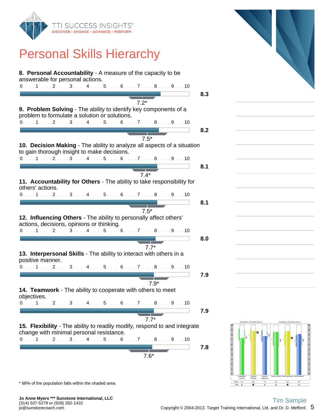

### Personal Skills Hierarchy

| 8. Personal Accountability - A measure of the capacity to be<br>answerable for personal actions.                       |     |
|------------------------------------------------------------------------------------------------------------------------|-----|
| $0.1.1.1.1.2.1.13.1.14.1.15.1.16.1.17.1.18.1.19.1.10$                                                                  |     |
|                                                                                                                        | 8.3 |
| $7.2*$                                                                                                                 |     |
| 9. Problem Solving - The ability to identify key components of a<br>problem to formulate a solution or solutions.      |     |
| $0.1.1.1.1.1.2.1.1.3.1.1.4.1.1.5.1.1.6.1.1.7.1.1.8.1.1.9.1.10$                                                         |     |
|                                                                                                                        | 8.2 |
| $7.5*$                                                                                                                 |     |
| 10. Decision Making - The ability to analyze all aspects of a situation<br>to gain thorough insight to make decisions. |     |
| 0. 1 2 3 4 5 6 7 8 9 10                                                                                                |     |
| $7.4*$                                                                                                                 | 8.1 |
| 11. Accountability for Others - The ability to take responsibility for<br>others' actions.                             |     |
| $0.1.1.1.1.2.1.1.3.1.1.4.1.1.5.1.16.1.1.7.1.1.8.1.1.9.1.10$                                                            |     |
|                                                                                                                        | 8.1 |
| $7.5*$                                                                                                                 |     |
| 12. Influencing Others - The ability to personally affect others'<br>actions, decisions, opinions or thinking.         |     |
| $0.1.1.1.1.1.2.1.1.3.1.1.4.1.1.5.1.1.6.1.1.7.1.1.8.1.1.9.1.10$                                                         |     |
|                                                                                                                        | 8.0 |
| $7.7*$                                                                                                                 |     |
| 13. Interpersonal Skills - The ability to interact with others in a<br>positive manner.                                |     |
| 0. 1 2 3 4 5 6 7 8 9 10                                                                                                |     |
| $7.9*$                                                                                                                 | 7.9 |
| 14. Teamwork - The ability to cooperate with others to meet<br>objectives.                                             |     |
| 0. 1 2 3 4 5 6 7 8 9 10                                                                                                |     |
|                                                                                                                        | 7.9 |
| $7.7*$<br>15. Flexibility - The ability to readily modify, respond to and integrate                                    |     |
| change with minimal personal resistance.<br>0. 1 2 3 4 5 6 7 8 9 10                                                    |     |
|                                                                                                                        | 7.8 |
| $7.6*$                                                                                                                 |     |
|                                                                                                                        |     |





\* 68% of the population falls within the shaded area.

**Jo Anne Myers \*\*\* Sunstone International, LLC** (314) 537-5279 or (928) 282-1432 jo@sunstonecoach.com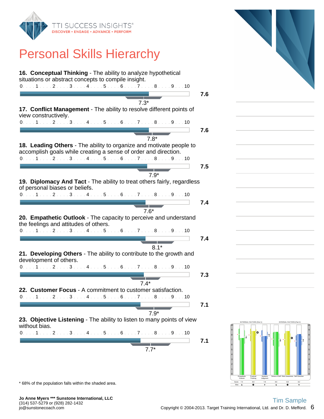

## Personal Skills Hierarchy

| 16. Conceptual Thinking - The ability to analyze hypothetical<br>situations or abstract concepts to compile insight.                                              |     |
|-------------------------------------------------------------------------------------------------------------------------------------------------------------------|-----|
| $0.1.1.1.1.1.2.1.1.3.1.1.4.1.1.5.1.1.6.1.1.7.1.1.8.1.1.9.1.10$                                                                                                    |     |
|                                                                                                                                                                   | 7.6 |
| $7.3*$                                                                                                                                                            |     |
| 17. Conflict Management - The ability to resolve different points of<br>view constructively.                                                                      |     |
| $0.111111211131114111511161117111811191110$                                                                                                                       |     |
|                                                                                                                                                                   | 7.6 |
| $7.8*$                                                                                                                                                            |     |
| 18. Leading Others - The ability to organize and motivate people to<br>accomplish goals while creating a sense of order and direction.<br>0. 1 2 3 4 5 6 7 8 9 10 |     |
|                                                                                                                                                                   | 7.5 |
|                                                                                                                                                                   |     |
| $7.9*$                                                                                                                                                            |     |
| 19. Diplomacy And Tact - The ability to treat others fairly, regardless<br>of personal biases or beliefs.                                                         |     |
| $0.11.1.1.2.1.3.1.4.1.5.1.6.1.7.1.8.1.9.1.10$                                                                                                                     |     |
|                                                                                                                                                                   | 7.4 |
| $7.6*$                                                                                                                                                            |     |
| 20. Empathetic Outlook - The capacity to perceive and understand<br>the feelings and attitudes of others.                                                         |     |
| 0. 1 2 3 4 5 6 7 8 9 10                                                                                                                                           |     |
|                                                                                                                                                                   | 7.4 |
| $8.1*$                                                                                                                                                            |     |
| 21. Developing Others - The ability to contribute to the growth and<br>development of others.                                                                     |     |
| 0. 1 2 3 4 5 6 7 8 9 10                                                                                                                                           |     |
|                                                                                                                                                                   |     |
|                                                                                                                                                                   | 7.3 |
| $7.4*$                                                                                                                                                            |     |
| 22. Customer Focus - A commitment to customer satisfaction.<br>$0.1.1.1.1.2.1.1.3.1.1.4.1.1.5.1.16.1.1.7.1.1.8.1.1.9.1.10$                                        |     |
|                                                                                                                                                                   | 7.1 |
| $7.9*$                                                                                                                                                            |     |
| 23. Objective Listening - The ability to listen to many points of view<br>without bias.                                                                           |     |
| 0. 1 2 3 4 5 6 7 8 9 10                                                                                                                                           |     |
|                                                                                                                                                                   |     |
|                                                                                                                                                                   | 7.1 |
|                                                                                                                                                                   |     |
| $7.7*$                                                                                                                                                            |     |



EXTERNAL FACTORS (Part 1) INTERNAL FACTORS (Part 2)  $-7.4$ 7.4 8.8 7.8 8.6 8.8 8.2 0 0 . **. . . . . . . . . . . . . .** . . 2 2 3 3 4 4 5 5 6 6 7 7 8 **\* 1 \* 1 J** J M I I I I J J 8 9 9  $10$   $\longrightarrow$   $\longrightarrow$   $\longrightarrow$   $\longrightarrow$   $\longrightarrow$   $\longrightarrow$   $10$ Empathetic Outlook Practical Thinking Systems Judgment Sense of Self Role Awareness Self Direction

\* 68% of the population falls within the shaded area.

**Jo Anne Myers \*\*\* Sunstone International, LLC** (314) 537-5279 or (928) 282-1432 jo@sunstonecoach.com

Bias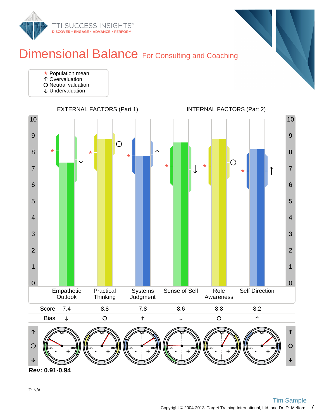

### Dimensional Balance For Consulting and Coaching

- **★ Population mean**
- Overvaluation
- O Neutral valuation
- Undervaluation



**Rev: 0.91-0.94**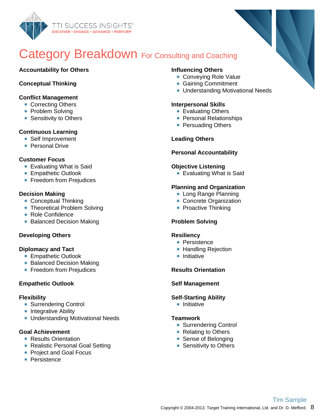

### Category Breakdown For Consulting and Coaching

#### **Accountability for Others**

#### **Conceptual Thinking**

#### **Conflict Management**

- Correcting Others
- Problem Solving
- Sensitivity to Others

#### **Continuous Learning**

- Self Improvement
- Personal Drive

#### **Customer Focus**

- **Evaluating What is Said**
- **Empathetic Outlook**
- **Freedom from Prejudices**

#### **Decision Making**

- Conceptual Thinking
- Theoretical Problem Solving
- Role Confidence
- Balanced Decision Making

#### **Developing Others**

#### **Diplomacy and Tact**

- **Empathetic Outlook**
- Balanced Decision Making
- **Freedom from Prejudices**

#### **Empathetic Outlook**

#### **Flexibility**

- Surrendering Control
- Integrative Ability
- Understanding Motivational Needs

#### **Goal Achievement**

- Results Orientation
- Realistic Personal Goal Setting
- Project and Goal Focus
- **Persistence**

#### **Influencing Others**

- Conveying Role Value
- **Gaining Commitment**
- Understanding Motivational Needs

#### **Interpersonal Skills**

- Evaluating Others
- Personal Relationships
- Persuading Others

#### **Leading Others**

#### **Personal Accountability**

#### **Objective Listening**

**Evaluating What is Said** 

#### **Planning and Organization**

- Long Range Planning
- Concrete Organization
- Proactive Thinking

#### **Problem Solving**

#### **Resiliency**

- Persistence
- Handling Rejection
- $\bullet$  Initiative

#### **Results Orientation**

#### **Self Management**

#### **Self-Starting Ability**

• Initiative

#### **Teamwork**

- Surrendering Control
- Relating to Others
- Sense of Belonging
- Sensitivity to Others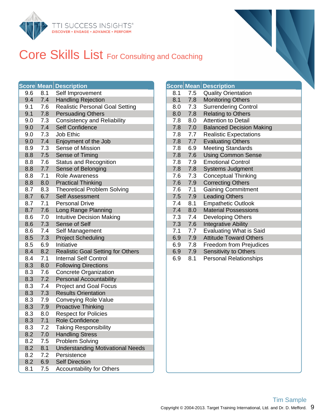

# Core Skills List For Consulting and Coaching

|     |     | <b>Score Mean Description</b>            |     |     | <b>Score Mean Description</b> |
|-----|-----|------------------------------------------|-----|-----|-------------------------------|
| 9.6 | 8.1 | Self Improvement                         | 8.1 | 7.5 | <b>Quality Orie</b>           |
| 9.4 | 7.4 | <b>Handling Rejection</b>                | 8.1 | 7.8 | Monitoring C                  |
| 9.1 | 7.6 | <b>Realistic Personal Goal Setting</b>   | 8.0 | 7.3 | Surrendering                  |
| 9.1 | 7.8 | <b>Persuading Others</b>                 | 8.0 | 7.8 | Relating to 0                 |
| 9.0 | 7.3 | <b>Consistency and Reliability</b>       | 7.8 | 8.0 | Attention to                  |
| 9.0 | 7.4 | <b>Self Confidence</b>                   | 7.8 | 7.0 | <b>Balanced De</b>            |
| 9.0 | 7.3 | Job Ethic                                | 7.8 | 7.7 | Realistic Ex                  |
| 9.0 | 7.4 | Enjoyment of the Job                     | 7.8 | 7.7 | <b>Evaluating C</b>           |
| 8.9 | 7.3 | Sense of Mission                         | 7.8 | 6.9 | <b>Meeting Sta</b>            |
| 8.8 | 7.5 | Sense of Timing                          | 7.8 | 7.6 | <b>Using Comn</b>             |
| 8.8 | 7.6 | <b>Status and Recognition</b>            | 7.8 | 7.9 | <b>Emotional C</b>            |
| 8.8 | 7.7 | Sense of Belonging                       | 7.8 | 7.8 | Systems Jur                   |
| 8.8 | 7.1 | <b>Role Awareness</b>                    | 7.6 | 7.3 | Conceptual                    |
| 8.8 | 8.0 | <b>Practical Thinking</b>                | 7.6 | 7.9 | <b>Correcting C</b>           |
| 8.7 | 8.3 | <b>Theoretical Problem Solving</b>       | 7.6 | 7.1 | <b>Gaining Cor</b>            |
| 8.7 | 6.7 | Self Assessment                          | 7.5 | 7.9 | <b>Leading Oth</b>            |
| 8.7 | 7.1 | <b>Personal Drive</b>                    | 7.4 | 8.1 | Empathetic                    |
| 8.7 | 7.6 | Long Range Planning                      | 7.4 | 8.0 | <b>Material Pos</b>           |
| 8.6 | 7.0 | <b>Intuitive Decision Making</b>         | 7.3 | 7.4 | Developing                    |
| 8.6 | 7.3 | Sense of Self                            | 7.3 | 7.6 | Integrative A                 |
| 8.6 | 7.4 | Self Management                          | 7.1 | 7.7 | Evaluating V                  |
| 8.5 | 7.3 | <b>Project Scheduling</b>                | 6.9 | 7.9 | <b>Attitude Tow</b>           |
| 8.5 | 6.9 | Initiative                               | 6.9 | 7.8 | Freedom fro                   |
| 8.4 | 8.2 | <b>Realistic Goal Setting for Others</b> | 6.9 | 7.9 | Sensitivity to                |
| 8.4 | 7.1 | <b>Internal Self Control</b>             | 6.9 | 8.1 | Personal Re                   |
| 8.3 | 8.0 | <b>Following Directions</b>              |     |     |                               |
| 8.3 | 7.6 | <b>Concrete Organization</b>             |     |     |                               |
| 8.3 | 7.2 | <b>Personal Accountability</b>           |     |     |                               |
| 8.3 | 7.4 | <b>Project and Goal Focus</b>            |     |     |                               |
| 8.3 | 7.3 | <b>Results Orientation</b>               |     |     |                               |
| 8.3 | 7.9 | <b>Conveying Role Value</b>              |     |     |                               |
| 8.3 | 7.9 | <b>Proactive Thinking</b>                |     |     |                               |
| 8.3 | 8.0 | <b>Respect for Policies</b>              |     |     |                               |
| 8.3 | 7.1 | Role Confidence                          |     |     |                               |
| 8.3 | 7.2 | Taking Responsibility                    |     |     |                               |
| 8.2 | 7.0 | <b>Handling Stress</b>                   |     |     |                               |
| 8.2 | 7.5 | Problem Solving                          |     |     |                               |
| 8.2 | 8.1 | <b>Understanding Motivational Needs</b>  |     |     |                               |
| 8.2 | 7.2 | Persistence                              |     |     |                               |
| 8.2 | 6.9 | <b>Self Direction</b>                    |     |     |                               |
| 8.1 | 7.5 | <b>Accountability for Others</b>         |     |     |                               |

|     | Score Mean | <b>Description</b>              |  |
|-----|------------|---------------------------------|--|
| 8.1 | 7.5        | <b>Quality Orientation</b>      |  |
| 8.1 | 7.8        | <b>Monitoring Others</b>        |  |
| 8.0 | 7.3        | <b>Surrendering Control</b>     |  |
| 8.0 | 7.8        | <b>Relating to Others</b>       |  |
| 7.8 | 8.0        | <b>Attention to Detail</b>      |  |
| 7.8 | 7.0        | <b>Balanced Decision Making</b> |  |
| 7.8 | 7.7        | <b>Realistic Expectations</b>   |  |
| 7.8 | 7.7        | <b>Evaluating Others</b>        |  |
| 7.8 | 6.9        | <b>Meeting Standards</b>        |  |
| 7.8 | 7.6        | <b>Using Common Sense</b>       |  |
| 7.8 | 7.9        | <b>Emotional Control</b>        |  |
| 7.8 | 7.8        | <b>Systems Judgment</b>         |  |
| 7.6 | 7.3        | <b>Conceptual Thinking</b>      |  |
| 7.6 | 7.9        | <b>Correcting Others</b>        |  |
| 7.6 | 7.1        | <b>Gaining Commitment</b>       |  |
| 7.5 | 7.9        | <b>Leading Others</b>           |  |
| 7.4 | 8.1        | <b>Empathetic Outlook</b>       |  |
| 7.4 | 8.0        | <b>Material Possessions</b>     |  |
| 7.3 | 7.4        | Developing Others               |  |
| 7.3 | 7.6        | <b>Integrative Ability</b>      |  |
| 7.1 | 7.7        | <b>Evaluating What is Said</b>  |  |
| 6.9 | 7.9        | <b>Attitude Toward Others</b>   |  |
| 6.9 | 7.8        | Freedom from Prejudices         |  |
| 6.9 | 7.9        | Sensitivity to Others           |  |
| 6.9 | 8.1        | <b>Personal Relationships</b>   |  |
|     |            |                                 |  |
|     |            |                                 |  |
|     |            |                                 |  |
|     |            |                                 |  |
|     |            |                                 |  |
|     |            |                                 |  |
|     |            |                                 |  |
|     |            |                                 |  |
|     |            |                                 |  |
|     |            |                                 |  |
|     |            |                                 |  |
|     |            |                                 |  |